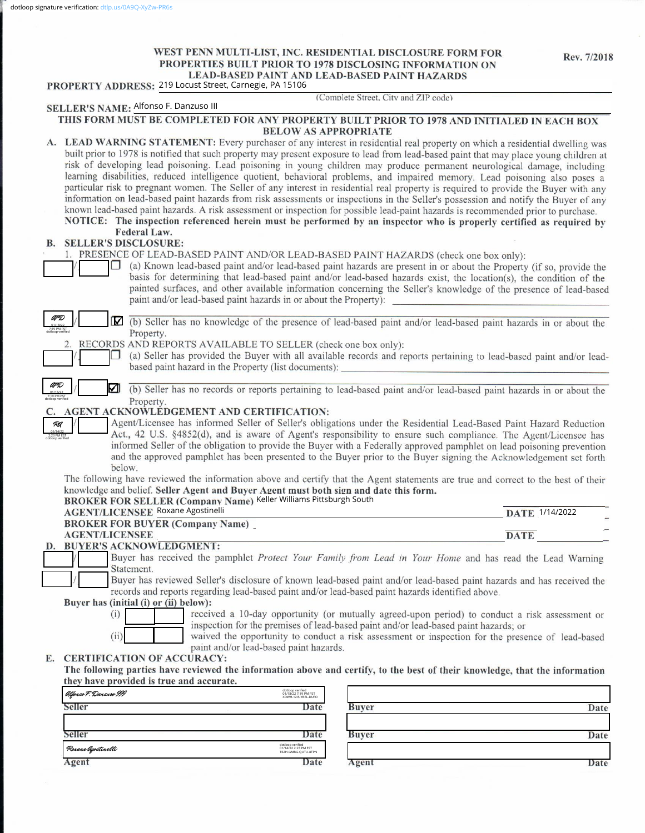# WEST PENN MULTI-LIST, INC. RESIDENTIAL DISCLOSURE FORM FOR PROPERTIES BUILT PRIOR TO 1978 DISCLOSING INFORMATION ON LEAD-BASED PAINT AND LEAD-BASED PAINT HAZARDS

|     | PROPERTY ADDRESS: 219 Locust Street, Carnegie, PA 15106                                                                                                    | WED LAINT AND LEAD-DASED LAINT HAZANDS                                                                                                                                                                                                                                                                                                                                                                                                                                                                                                                                                                                                                                                                                                                                                                                                                                                                                                                                                                                                                                      |
|-----|------------------------------------------------------------------------------------------------------------------------------------------------------------|-----------------------------------------------------------------------------------------------------------------------------------------------------------------------------------------------------------------------------------------------------------------------------------------------------------------------------------------------------------------------------------------------------------------------------------------------------------------------------------------------------------------------------------------------------------------------------------------------------------------------------------------------------------------------------------------------------------------------------------------------------------------------------------------------------------------------------------------------------------------------------------------------------------------------------------------------------------------------------------------------------------------------------------------------------------------------------|
|     | SELLER'S NAME: Alfonso F. Danzuso III                                                                                                                      | (Complete Street, City and ZIP code)                                                                                                                                                                                                                                                                                                                                                                                                                                                                                                                                                                                                                                                                                                                                                                                                                                                                                                                                                                                                                                        |
|     | <b>BELOW AS APPROPRIATE</b>                                                                                                                                | THIS FORM MUST BE COMPLETED FOR ANY PROPERTY BUILT PRIOR TO 1978 AND INITIALED IN EACH BOX                                                                                                                                                                                                                                                                                                                                                                                                                                                                                                                                                                                                                                                                                                                                                                                                                                                                                                                                                                                  |
|     | Federal Law.                                                                                                                                               | A. LEAD WARNING STATEMENT: Every purchaser of any interest in residential real property on which a residential dwelling was<br>built prior to 1978 is notified that such property may present exposure to lead from lead-based paint that may place young children at<br>risk of developing lead poisoning. Lead poisoning in young children may produce permanent neurological damage, including<br>learning disabilities, reduced intelligence quotient, behavioral problems, and impaired memory. Lead poisoning also poses a<br>particular risk to pregnant women. The Seller of any interest in residential real property is required to provide the Buyer with any<br>information on lead-based paint hazards from risk assessments or inspections in the Seller's possession and notify the Buyer of any<br>known lead-based paint hazards. A risk assessment or inspection for possible lead-paint hazards is recommended prior to purchase.<br>NOTICE: The inspection referenced herein must be performed by an inspector who is properly certified as required by |
| В.  | <b>SELLER'S DISCLOSURE:</b>                                                                                                                                |                                                                                                                                                                                                                                                                                                                                                                                                                                                                                                                                                                                                                                                                                                                                                                                                                                                                                                                                                                                                                                                                             |
|     | 1. PRESENCE OF LEAD-BASED PAINT AND/OR LEAD-BASED PAINT HAZARDS (check one box only):<br>paint and/or lead-based paint hazards in or about the Property):  | (a) Known lead-based paint and/or lead-based paint hazards are present in or about the Property (if so, provide the<br>basis for determining that lead-based paint and/or lead-based hazards exist, the location(s), the condition of the<br>painted surfaces, and other available information concerning the Seller's knowledge of the presence of lead-based                                                                                                                                                                                                                                                                                                                                                                                                                                                                                                                                                                                                                                                                                                              |
| AFD | Property.                                                                                                                                                  | (b) Seller has no knowledge of the presence of lead-based paint and/or lead-based paint hazards in or about the                                                                                                                                                                                                                                                                                                                                                                                                                                                                                                                                                                                                                                                                                                                                                                                                                                                                                                                                                             |
|     | RECORDS AND REPORTS AVAILABLE TO SELLER (check one box only):<br>based paint hazard in the Property (list documents):                                      | (a) Seller has provided the Buyer with all available records and reports pertaining to lead-based paint and/or lead-                                                                                                                                                                                                                                                                                                                                                                                                                                                                                                                                                                                                                                                                                                                                                                                                                                                                                                                                                        |
|     | ☑                                                                                                                                                          | (b) Seller has no records or reports pertaining to lead-based paint and/or lead-based paint hazards in or about the                                                                                                                                                                                                                                                                                                                                                                                                                                                                                                                                                                                                                                                                                                                                                                                                                                                                                                                                                         |
| RA  | Property.<br>AGENT ACKNOWLEDGEMENT AND CERTIFICATION:<br>below.                                                                                            | Agent/Licensee has informed Seller of Seller's obligations under the Residential Lead-Based Paint Hazard Reduction<br>Act., 42 U.S. §4852(d), and is aware of Agent's responsibility to ensure such compliance. The Agent/Licensee has<br>informed Seller of the obligation to provide the Buyer with a Federally approved pamphlet on lead poisoning prevention<br>and the approved pamphlet has been presented to the Buyer prior to the Buyer signing the Acknowledgement set forth                                                                                                                                                                                                                                                                                                                                                                                                                                                                                                                                                                                      |
|     | knowledge and belief. Seller Agent and Buyer Agent must both sign and date this form.<br>BROKER FOR SELLER (Company Name) Keller Williams Pittsburgh South | The following have reviewed the information above and certify that the Agent statements are true and correct to the best of their                                                                                                                                                                                                                                                                                                                                                                                                                                                                                                                                                                                                                                                                                                                                                                                                                                                                                                                                           |
|     | <b>AGENT/LICENSEE Roxane Agostinelli</b>                                                                                                                   | DATE 1/14/2022                                                                                                                                                                                                                                                                                                                                                                                                                                                                                                                                                                                                                                                                                                                                                                                                                                                                                                                                                                                                                                                              |
|     | <b>BROKER FOR BUYER (Company Name)</b><br><b>AGENT/LICENSEE</b>                                                                                            | <b>DATE</b>                                                                                                                                                                                                                                                                                                                                                                                                                                                                                                                                                                                                                                                                                                                                                                                                                                                                                                                                                                                                                                                                 |
|     | D. BUYER'S ACKNOWLEDGMENT:                                                                                                                                 | Buyer has received the pamphlet Protect Your Family from Lead in Your Home and has read the Lead Warning                                                                                                                                                                                                                                                                                                                                                                                                                                                                                                                                                                                                                                                                                                                                                                                                                                                                                                                                                                    |
|     | Statement.<br>records and reports regarding lead-based paint and/or lead-based paint hazards identified above.                                             | Buyer has reviewed Seller's disclosure of known lead-based paint and/or lead-based paint hazards and has received the                                                                                                                                                                                                                                                                                                                                                                                                                                                                                                                                                                                                                                                                                                                                                                                                                                                                                                                                                       |
|     | Buyer has (initial (i) or (ii) below):                                                                                                                     |                                                                                                                                                                                                                                                                                                                                                                                                                                                                                                                                                                                                                                                                                                                                                                                                                                                                                                                                                                                                                                                                             |
|     | (i)<br>(ii)<br>paint and/or lead-based paint hazards.                                                                                                      | received a 10-day opportunity (or mutually agreed-upon period) to conduct a risk assessment or<br>inspection for the premises of lead-based paint and/or lead-based paint hazards; or<br>waived the opportunity to conduct a risk assessment or inspection for the presence of lead-based                                                                                                                                                                                                                                                                                                                                                                                                                                                                                                                                                                                                                                                                                                                                                                                   |
| Е.  | <b>CERTIFICATION OF ACCURACY:</b><br>they have provided is true and accurate.                                                                              | The following parties have reviewed the information above and certify, to the best of their knowledge, that the information                                                                                                                                                                                                                                                                                                                                                                                                                                                                                                                                                                                                                                                                                                                                                                                                                                                                                                                                                 |
|     | dotloop verified<br>01/18/22 7:19 PM PST<br>XDWH-12IS-YBEL-DUFO<br>Alfonso F. Danzuso III                                                                  |                                                                                                                                                                                                                                                                                                                                                                                                                                                                                                                                                                                                                                                                                                                                                                                                                                                                                                                                                                                                                                                                             |
|     | Seller<br>Date                                                                                                                                             | <b>Buyer</b><br>Date                                                                                                                                                                                                                                                                                                                                                                                                                                                                                                                                                                                                                                                                                                                                                                                                                                                                                                                                                                                                                                                        |
|     |                                                                                                                                                            |                                                                                                                                                                                                                                                                                                                                                                                                                                                                                                                                                                                                                                                                                                                                                                                                                                                                                                                                                                                                                                                                             |
|     | Seller<br>Date<br>dotloop verified<br>01/14/22 2:23 PM EST<br>T62H-GMBG-QUTU-8TPN<br>Roxane Agostinelli                                                    | <b>Buyer</b><br>Date                                                                                                                                                                                                                                                                                                                                                                                                                                                                                                                                                                                                                                                                                                                                                                                                                                                                                                                                                                                                                                                        |
|     | Agent<br>Date                                                                                                                                              | Agent<br>Date                                                                                                                                                                                                                                                                                                                                                                                                                                                                                                                                                                                                                                                                                                                                                                                                                                                                                                                                                                                                                                                               |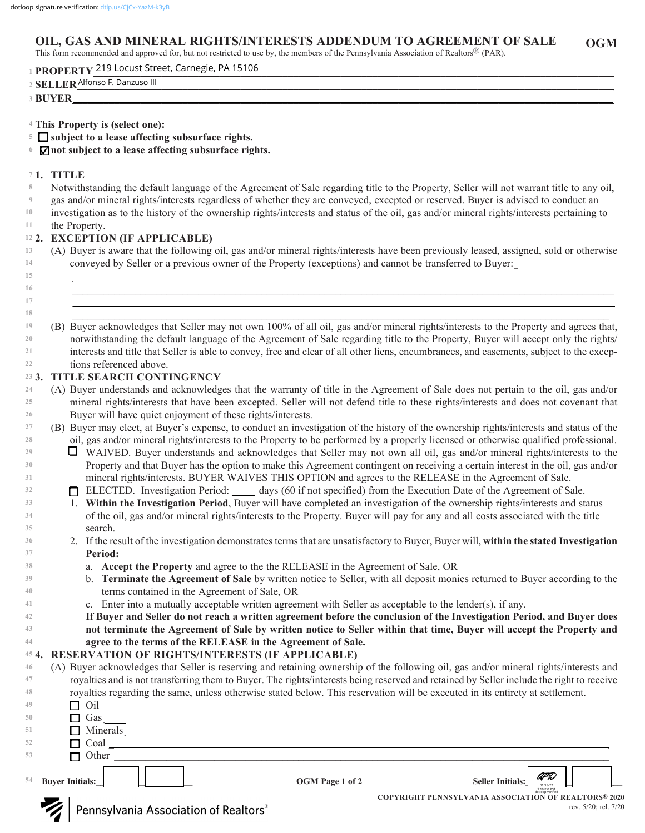#### **OGM OIL, GAS AND MINERAL RIGHTS/INTERESTS ADDENDUM TO AGREEMENT OF SALE**

This form recommended and approved for, but not restricted to use by, the members of the Pennsylvania Association of Realtors® (PAR).

**PROPERTY\_\_\_\_\_\_\_\_\_\_\_\_\_\_\_\_\_\_\_\_\_\_\_\_\_\_\_\_\_\_\_\_\_\_\_\_\_\_\_\_\_\_\_\_\_\_\_\_\_\_\_\_\_\_\_\_\_\_\_\_\_\_\_\_\_\_\_\_\_\_\_\_\_\_\_\_\_\_\_\_\_\_\_\_\_\_\_\_\_\_\_\_\_\_\_\_\_\_\_ 1** 219 Locust Street, Carnegie, PA 15106

| $\sim$ $\sim$ $\sim$ $\sim$ $\sim$<br>Alfonso F. Danzuso III<br>$\mathbf{m}$ |  |  |  |  |
|------------------------------------------------------------------------------|--|--|--|--|
| YER<br>≖                                                                     |  |  |  |  |

- **This Property is (select one): 4**
- **subject to a lease affecting subsurface rights. 5**
- **not subject to a lease affecting subsurface rights. 6**

### **1. TITLE 7**

- Notwithstanding the default language of the Agreement of Sale regarding title to the Property, Seller will not warrant title to any oil, **8**
- gas and/or mineral rights/interests regardless of whether they are conveyed, excepted or reserved. Buyer is advised to conduct an **9**

investigation as to the history of the ownership rights/interests and status of the oil, gas and/or mineral rights/interests pertaining to **10 11**

# the Property.

### **2. EXCEPTION (IF APPLICABLE) 12**

(A) Buyer is aware that the following oil, gas and/or mineral rights/interests have been previously leased, assigned, sold or otherwise conveyed by Seller or a previous owner of the Property (exceptions) and cannot be transferred to Buyer: **13 14**

 $\mathcal{L}_\mathcal{L} = \mathcal{L}_\mathcal{L} = \mathcal{L}_\mathcal{L} = \mathcal{L}_\mathcal{L} = \mathcal{L}_\mathcal{L} = \mathcal{L}_\mathcal{L} = \mathcal{L}_\mathcal{L} = \mathcal{L}_\mathcal{L} = \mathcal{L}_\mathcal{L} = \mathcal{L}_\mathcal{L} = \mathcal{L}_\mathcal{L} = \mathcal{L}_\mathcal{L} = \mathcal{L}_\mathcal{L} = \mathcal{L}_\mathcal{L} = \mathcal{L}_\mathcal{L} = \mathcal{L}_\mathcal{L} = \mathcal{L}_\mathcal{L}$  $\_$  , and the set of the set of the set of the set of the set of the set of the set of the set of the set of the set of the set of the set of the set of the set of the set of the set of the set of the set of the set of th \_\_\_\_\_\_\_\_\_\_\_\_\_\_\_\_\_\_\_\_\_\_\_\_\_\_\_\_\_\_\_\_\_\_\_\_\_\_\_\_\_\_\_\_\_\_\_\_\_\_\_\_\_\_\_\_\_\_\_\_\_\_\_\_\_\_\_\_\_\_\_\_\_\_\_\_\_\_\_\_\_\_\_\_\_\_\_\_\_\_\_\_\_\_\_\_\_\_\_\_\_\_\_

- **15 16**
- **17 18**

\_\_\_\_\_\_\_\_\_\_\_\_\_\_\_\_\_\_\_\_\_\_\_\_\_\_\_\_\_\_\_\_\_\_\_\_\_\_\_\_\_\_\_\_\_\_\_\_\_\_\_\_\_\_\_\_\_\_\_\_\_\_\_\_\_\_\_\_\_\_\_\_\_\_\_\_\_\_\_\_\_\_\_\_\_\_\_\_\_\_\_\_\_\_\_\_\_\_\_\_\_\_ (B) Buyer acknowledges that Seller may not own 100% of all oil, gas and/or mineral rights/interests to the Property and agrees that, notwithstanding the default language of the Agreement of Sale regarding title to the Property, Buyer will accept only the rights/ interests and title that Seller is able to convey, free and clear of all other liens, encumbrances, and easements, subject to the exceptions referenced above. **19 20 21 22**

#### **3. TITLE SEARCH CONTINGENCY 23**

- (A) Buyer understands and acknowledges that the warranty of title in the Agreement of Sale does not pertain to the oil, gas and/or mineral rights/interests that have been excepted. Seller will not defend title to these rights/interests and does not covenant that Buyer will have quiet enjoyment of these rights/interests. **24 25 26**
- (B) Buyer may elect, at Buyer's expense, to conduct an investigation of the history of the ownership rights/interests and status of the oil, gas and/or mineral rights/interests to the Property to be performed by a properly licensed or otherwise qualified professional. **27 28**
	- WAIVED. Buyer understands and acknowledges that Seller may not own all oil, gas and/or mineral rights/interests to the Property and that Buyer has the option to make this Agreement contingent on receiving a certain interest in the oil, gas and/or mineral rights/interests. BUYER WAIVES THIS OPTION and agrees to the RELEASE in the Agreement of Sale.
	- ELECTED. Investigation Period: days (60 if not specified) from the Execution Date of the Agreement of Sale.
	- 1. **Within the Investigation Period**, Buyer will have completed an investigation of the ownership rights/interests and status of the oil, gas and/or mineral rights/interests to the Property. Buyer will pay for any and all costs associated with the title search.
	- 2. If the result of the investigation demonstrates terms that are unsatisfactory to Buyer, Buyer will, **within the stated Investigation Period:**
		- a. **Accept the Property** and agree to the the RELEASE in the Agreement of Sale, OR
		- b. **Terminate the Agreement of Sale** by written notice to Seller, with all deposit monies returned to Buyer according to the terms contained in the Agreement of Sale, OR
		- c. Enter into a mutually acceptable written agreement with Seller as acceptable to the lender(s), if any.
	- **If Buyer and Seller do not reach a written agreement before the conclusion of the Investigation Period, and Buyer does not terminate the Agreement of Sale by written notice to Seller within that time, Buyer will accept the Property and agree to the terms of the RELEASE in the Agreement of Sale.**

#### **4. RESERVATION OF RIGHTS/INTERESTS (IF APPLICABLE) 45**

(A) Buyer acknowledges that Seller is reserving and retaining ownership of the following oil, gas and/or mineral rights/interests and royalties and is not transferring them to Buyer. The rights/interests being reserved and retained by Seller include the right to receive royalties regarding the same, unless otherwise stated below. This reservation will be executed in its entirety at settlement. **46 47 48**

|    | 54 Buyer Initials: | OGM Page 1 of 2 | AFD<br><b>Seller Initials:</b><br>01/18/22 |
|----|--------------------|-----------------|--------------------------------------------|
| 53 | $\Box$ Other       |                 |                                            |
| 52 | $\Box$ Coal        |                 |                                            |
| 51 | $\Box$ Minerals    |                 |                                            |
| 50 | Gas                |                 |                                            |
| 49 | Oil                |                 |                                            |

**544 Buyer Initials:**  $\Box$ 

**COPYRIGHT PENNSYLVANIA ASSOCIATION OF REALTORS® 2020** dotloop verified rev. 5/20; rel. 7/20 7:19 PM PST